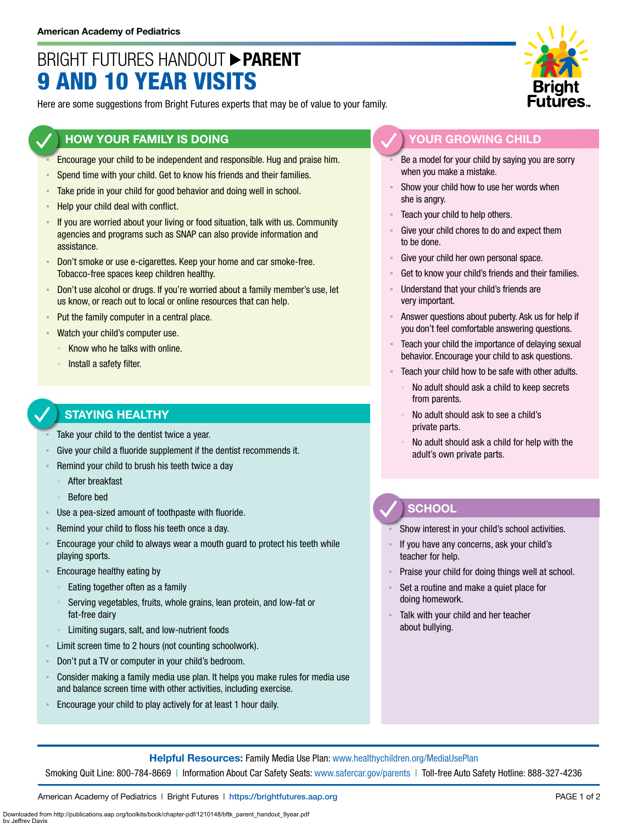## BRIGHT FUTURES HANDOUT **PARENT** 9 AND 10 YEAR VISITS

Here are some suggestions from Bright Futures experts that may be of value to your family.

### **HOW YOUR FAMILY IS DOING**

- Encourage your child to be independent and responsible. Hug and praise him.
- Spend time with your child. Get to know his friends and their families.
- Take pride in your child for good behavior and doing well in school.
- Help your child deal with conflict.
- If you are worried about your living or food situation, talk with us. Community agencies and programs such as SNAP can also provide information and assistance.
- Don't smoke or use e-cigarettes. Keep your home and car smoke-free. Tobacco-free spaces keep children healthy.
- Don't use alcohol or drugs. If you're worried about a family member's use, let us know, or reach out to local or online resources that can help.
- Put the family computer in a central place.
- Watch your child's computer use.
	- Know who he talks with online.
	- Install a safety filter.

## **STAYING HEALTHY**

- Take your child to the dentist twice a year.
- Give your child a fluoride supplement if the dentist recommends it.
- Remind your child to brush his teeth twice a day
	- After breakfast
	- Before bed
- Use a pea-sized amount of toothpaste with fluoride.
- Remind your child to floss his teeth once a day.
- **Encourage your child to always wear a mouth guard to protect his teeth while** playing sports.
- Encourage healthy eating by
	- Eating together often as a family
	- Serving vegetables, fruits, whole grains, lean protein, and low-fat or fat-free dairy
	- Limiting sugars, salt, and low-nutrient foods
- Limit screen time to 2 hours (not counting schoolwork).
- Don't put a TV or computer in your child's bedroom.
- Consider making a family media use plan. It helps you make rules for media use and balance screen time with other activities, including exercise.
- Encourage your child to play actively for at least 1 hour daily.



#### **YOUR GROWING CHILD**

- Be a model for your child by saying you are sorry when you make a mistake.
- Show your child how to use her words when she is angry.
- Teach your child to help others.
- Give your child chores to do and expect them to be done.
- Give your child her own personal space.
- Get to know your child's friends and their families.
- Understand that your child's friends are very important.
- Answer questions about puberty. Ask us for help if you don't feel comfortable answering questions.
- Teach your child the importance of delaying sexual behavior. Encourage your child to ask questions.
- Teach your child how to be safe with other adults.
	- No adult should ask a child to keep secrets from parents.
	- No adult should ask to see a child's private parts.
	- No adult should ask a child for help with the adult's own private parts.

## **SCHOOL**

Show interest in your child's school activities.

- If you have any concerns, ask your child's teacher for help.
- Praise your child for doing things well at school.
- Set a routine and make a quiet place for doing homework.
- Talk with your child and her teacher about bullying.

**Helpful Resources:** Family Media Use Plan: [www.healthychildren.org/MediaUsePlan](https://www.healthychildren.org/English/media/Pages/default.aspx)

Smoking Quit Line: 800-784-8669 | Information About Car Safety Seats: [www.safercar.gov/parents](https://www.nhtsa.gov/parents-and-caregivers) | Toll-free Auto Safety Hotline: 888-327-4236

American Academy of Pediatrics | Bright Futures | https://[brightfutures.aap.org](https://brightfutures.aap.org/Pages/default.aspx) PAGE 1 of 2